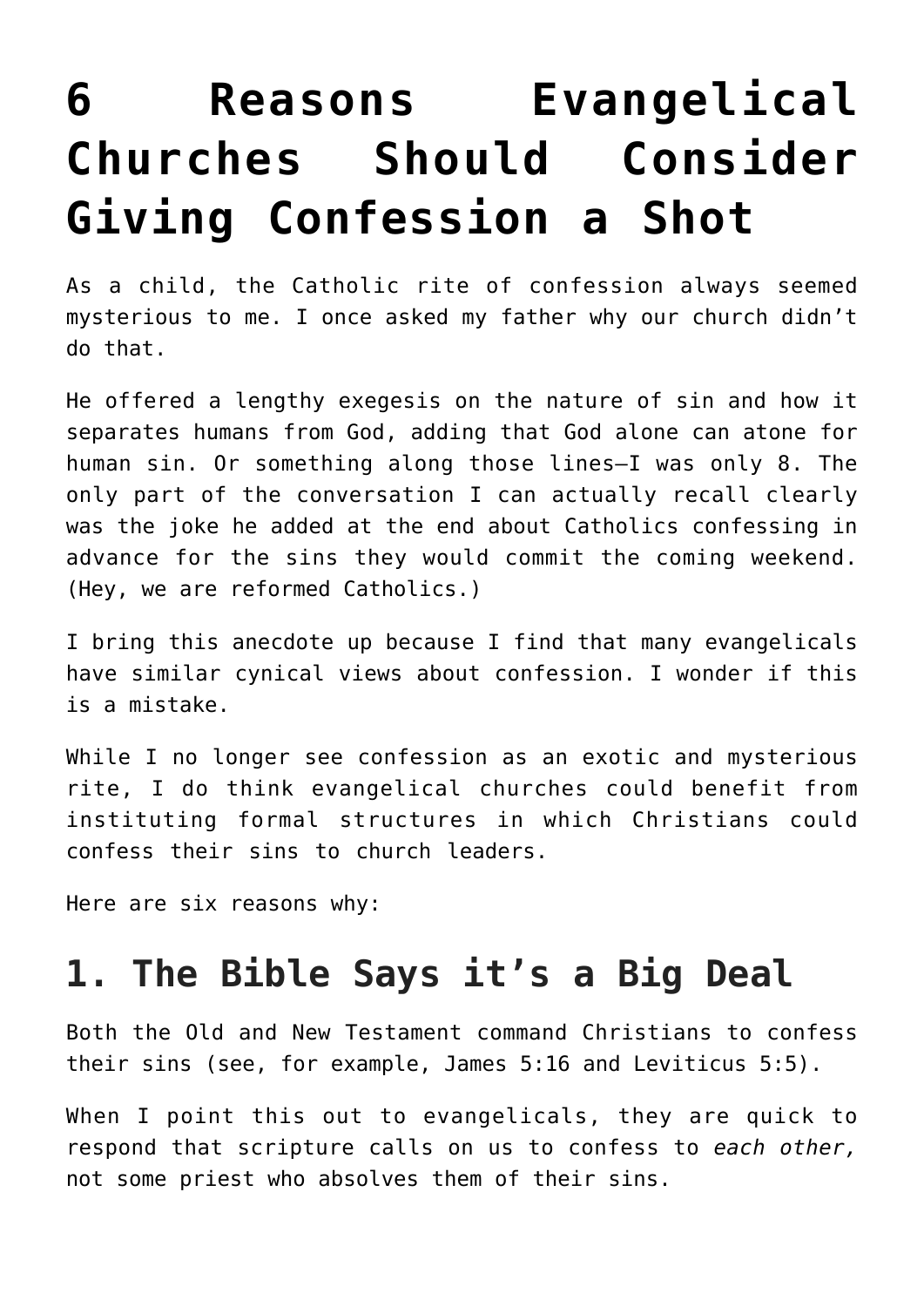# **[6 Reasons Evangelical](https://intellectualtakeout.org/2018/04/6-reasons-evangelical-churches-should-consider-giving-confession-a-shot/) [Churches Should Consider](https://intellectualtakeout.org/2018/04/6-reasons-evangelical-churches-should-consider-giving-confession-a-shot/) [Giving Confession a Shot](https://intellectualtakeout.org/2018/04/6-reasons-evangelical-churches-should-consider-giving-confession-a-shot/)**

As a child, the Catholic rite of confession always seemed mysterious to me. I once asked my father why our church didn't do that.

He offered a lengthy exegesis on the nature of sin and how it separates humans from God, adding that God alone can atone for human sin. Or something along those lines—I was only 8. The only part of the conversation I can actually recall clearly was the joke he added at the end about Catholics confessing in advance for the sins they would commit the coming weekend. (Hey, we are reformed Catholics.)

I bring this anecdote up because I find that many evangelicals have similar cynical views about confession. I wonder if this is a mistake.

While I no longer see confession as an exotic and mysterious rite, I do think evangelical churches could benefit from instituting formal structures in which Christians could confess their sins to church leaders.

Here are six reasons why:

#### **1. The Bible Says it's a Big Deal**

Both the Old and New Testament command Christians to confess their sins (see, for example, James 5:16 and Leviticus 5:5).

When I point this out to evangelicals, they are quick to respond that scripture calls on us to confess to *each other,* not some priest who absolves them of their sins.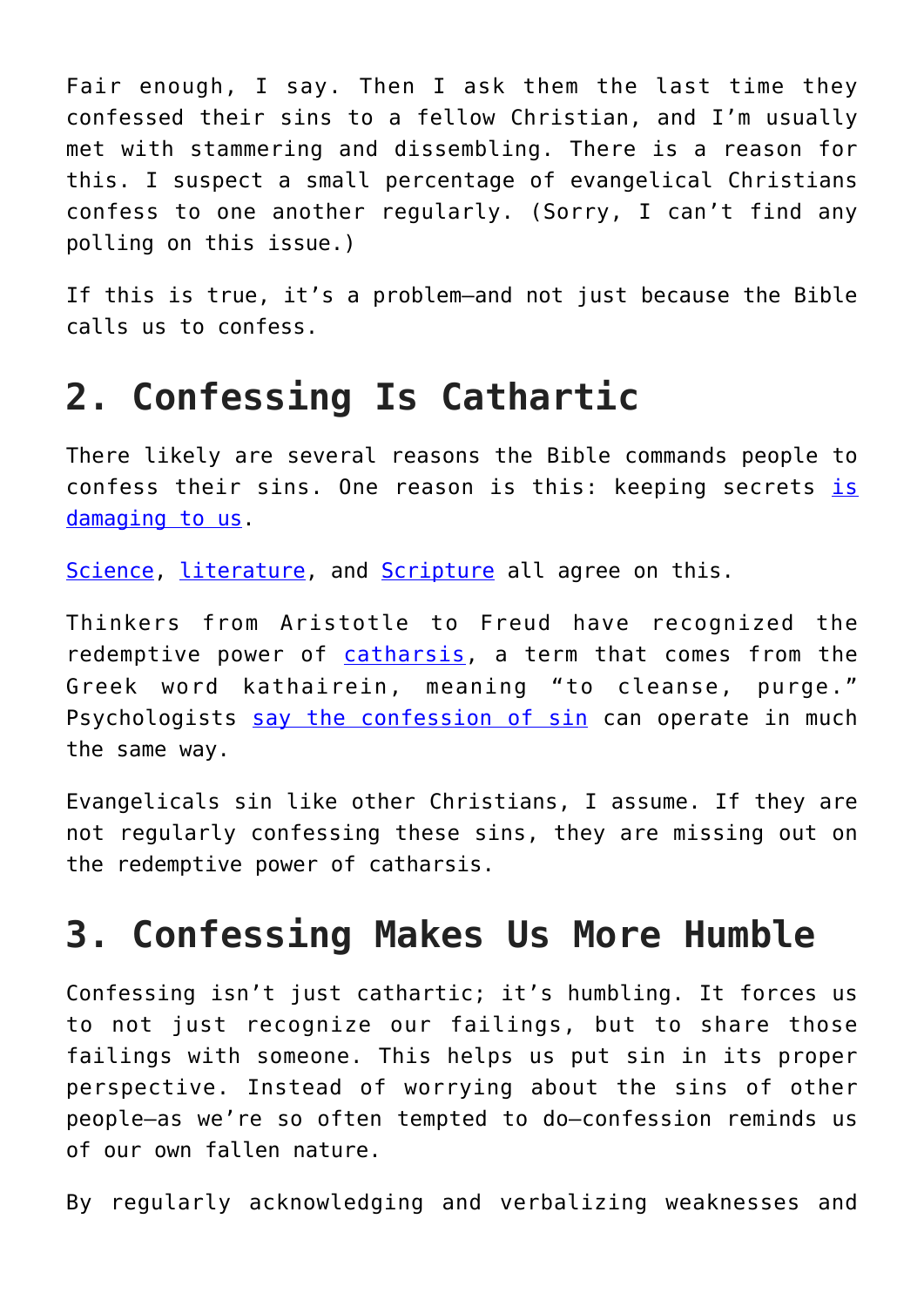Fair enough, I say. Then I ask them the last time they confessed their sins to a fellow Christian, and I'm usually met with stammering and dissembling. There is a reason for this. I suspect a small percentage of evangelical Christians confess to one another regularly. (Sorry, I can't find any polling on this issue.)

If this is true, it's a problem—and not just because the Bible calls us to confess.

### **2. Confessing Is Cathartic**

There likely are several reasons the Bible commands people to confess their sins. One reason is this: keeping secrets [is](https://www.psychologytoday.com/us/blog/ulterior-motives/201707/keeping-secrets-is-bad-you-is-why) [damaging to us](https://www.psychologytoday.com/us/blog/ulterior-motives/201707/keeping-secrets-is-bad-you-is-why).

[Science](http://psycnet.apa.org/record/2017-20428-001), [literature,](https://en.wikipedia.org/wiki/The_Scarlet_Letter) and [Scripture](https://dailyverses.net/proverbs/28/13) all agree on this.

Thinkers from Aristotle to Freud have recognized the redemptive power of [catharsis](https://www.merriam-webster.com/dictionary/catharsis), a term that comes from the Greek word kathairein, meaning "to cleanse, purge." Psychologists [say the confession of sin](http://primal-page.com/cathar.htm) can operate in much the same way.

Evangelicals sin like other Christians, I assume. If they are not regularly confessing these sins, they are missing out on the redemptive power of catharsis.

#### **3. Confessing Makes Us More Humble**

Confessing isn't just cathartic; it's humbling. It forces us to not just recognize our failings, but to share those failings with someone. This helps us put sin in its proper perspective. Instead of worrying about the sins of other people—as we're so often tempted to do—confession reminds us of our own fallen nature.

By regularly acknowledging and verbalizing weaknesses and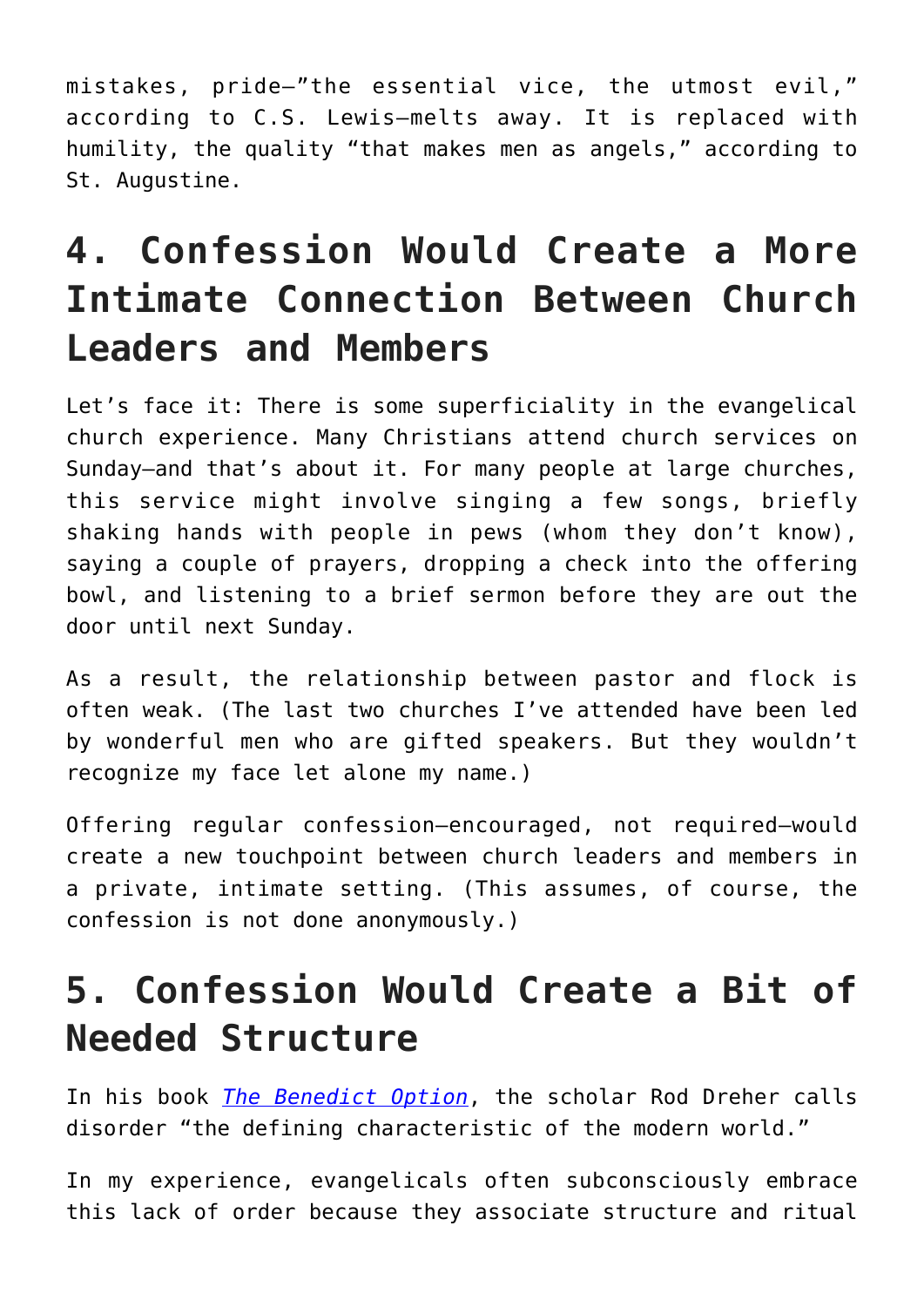mistakes, pride—"the essential vice, the utmost evil," according to C.S. Lewis—melts away. It is replaced with humility, the quality "that makes men as angels," according to St. Augustine.

## **4. Confession Would Create a More Intimate Connection Between Church Leaders and Members**

Let's face it: There is some superficiality in the evangelical church experience. Many Christians attend church services on Sunday—and that's about it. For many people at large churches, this service might involve singing a few songs, briefly shaking hands with people in pews (whom they don't know), saying a couple of prayers, dropping a check into the offering bowl, and listening to a brief sermon before they are out the door until next Sunday.

As a result, the relationship between pastor and flock is often weak. (The last two churches I've attended have been led by wonderful men who are gifted speakers. But they wouldn't recognize my face let alone my name.)

Offering regular confession—encouraged, not required—would create a new touchpoint between church leaders and members in a private, intimate setting. (This assumes, of course, the confession is not done anonymously.)

## **5. Confession Would Create a Bit of Needed Structure**

In his book *[The Benedict Option](https://amzn.to/2K9Ad4V)*, the scholar Rod Dreher calls disorder "the defining characteristic of the modern world."

In my experience, evangelicals often subconsciously embrace this lack of order because they associate structure and ritual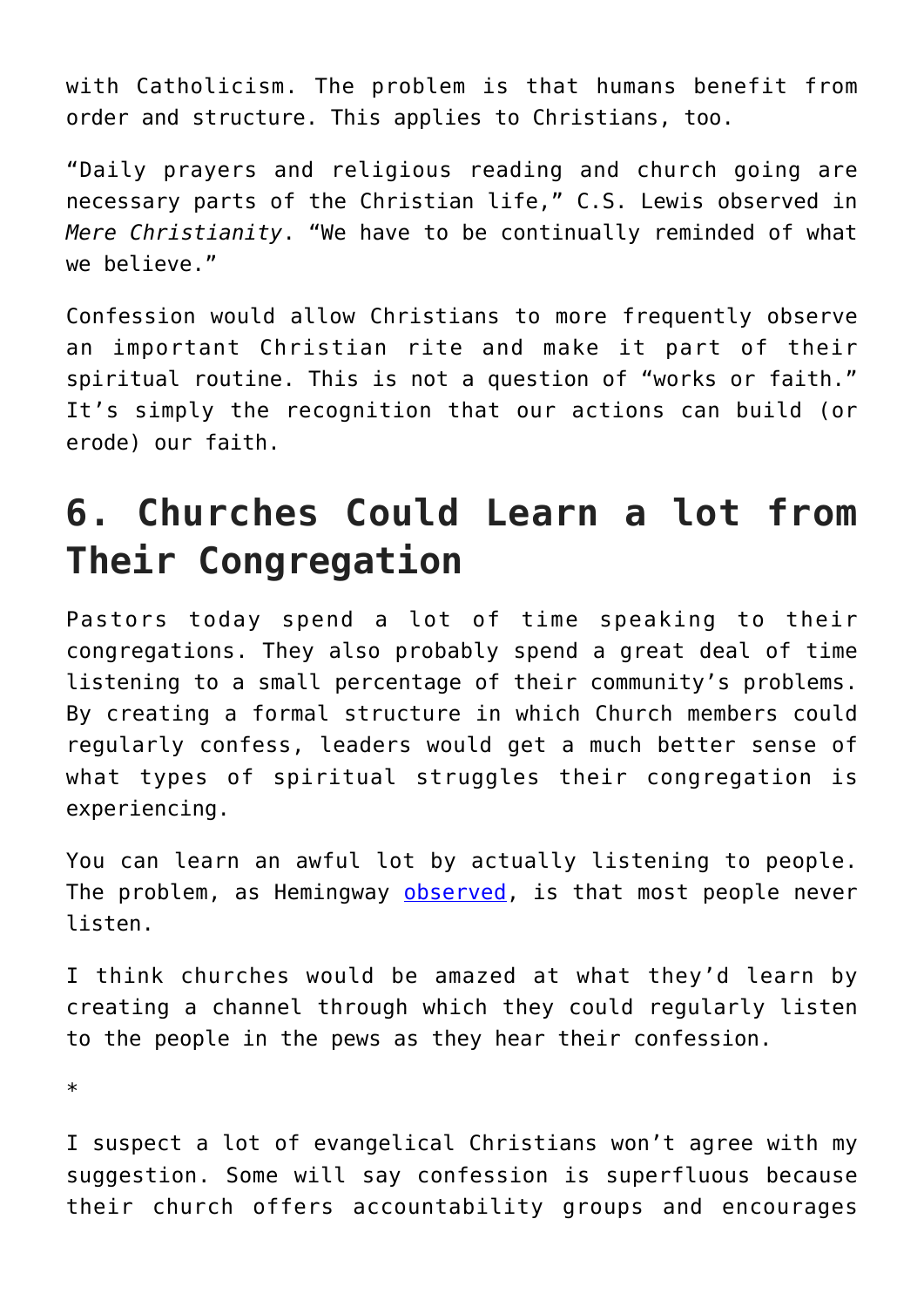with Catholicism. The problem is that humans benefit from order and structure. This applies to Christians, too.

"Daily prayers and religious reading and church going are necessary parts of the Christian life," C.S. Lewis observed in *Mere Christianity*. "We have to be continually reminded of what we believe."

Confession would allow Christians to more frequently observe an important Christian rite and make it part of their spiritual routine. This is not a question of "works or faith." It's simply the recognition that our actions can build (or erode) our faith.

## **6. Churches Could Learn a lot from Their Congregation**

Pastors today spend a lot of time speaking to their congregations. They also probably spend a great deal of time listening to a small percentage of their community's problems. By creating a formal structure in which Church members could regularly confess, leaders would get a much better sense of what types of spiritual struggles their congregation is experiencing.

You can learn an awful lot by actually listening to people. The problem, as Hemingway [observed,](https://www.brainyquote.com/quotes/ernest_hemingway_101588) is that most people never listen.

I think churches would be amazed at what they'd learn by creating a channel through which they could regularly listen to the people in the pews as they hear their confession.

\*

I suspect a lot of evangelical Christians won't agree with my suggestion. Some will say confession is superfluous because their church offers accountability groups and encourages